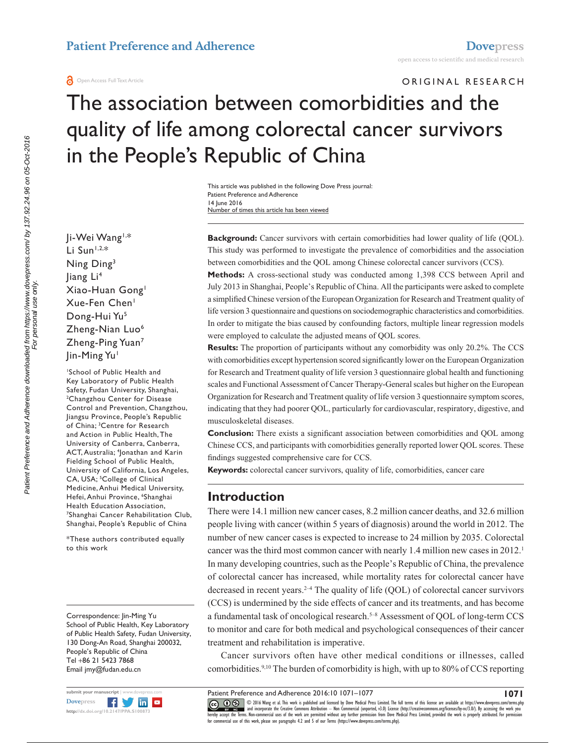#### **a** Open Access Full Text Article

ORIGINAL RESEARCH

# The association between comorbidities and the quality of life among colorectal cancer survivors in the People's Republic of China

Number of times this article has been viewed This article was published in the following Dove Press journal: Patient Preference and Adherence 14 June 2016

Ji-Wei Wang1,\* Li Sun $1,2,*$ Ning Ding3 Jiang Li 4 Xiao-Huan Gong1 Xue-Fen Chen1 Dong-Hui Yu<sup>5</sup> Zheng-Nian Luo<sup>6</sup> Zheng-Ping Yuan7 Jin-Ming Yu<sup>1</sup>

1 School of Public Health and Key Laboratory of Public Health Safety, Fudan University, Shanghai, 2 <sup>2</sup>Changzhou Center for Disease Control and Prevention, Changzhou, Jiangsu Province, People's Republic of China; 3 Centre for Research and Action in Public Health, The University of Canberra, Canberra, ACT, Australia; 4 Jonathan and Karin Fielding School of Public Health, University of California, Los Angeles, CA, USA; <sup>5</sup>College of Clinical Medicine, Anhui Medical University, Hefei, Anhui Province, <sup>6</sup>Shanghai Health Education Association, 7 Shanghai Cancer Rehabilitation Club, Shanghai, People's Republic of China

\*These authors contributed equally to this work

Correspondence: Jin-Ming Yu School of Public Health, Key Laboratory of Public Health Safety, Fudan University, 130 Dong-An Road, Shanghai 200032, People's Republic of China Tel +86 21 5423 7868 Email [jmy@fudan.edu.cn](mailto:jmy@fudan.edu.cn)



**Background:** Cancer survivors with certain comorbidities had lower quality of life (QOL). This study was performed to investigate the prevalence of comorbidities and the association between comorbidities and the QOL among Chinese colorectal cancer survivors (CCS).

**Methods:** A cross-sectional study was conducted among 1,398 CCS between April and July 2013 in Shanghai, People's Republic of China. All the participants were asked to complete a simplified Chinese version of the European Organization for Research and Treatment quality of life version 3 questionnaire and questions on sociodemographic characteristics and comorbidities. In order to mitigate the bias caused by confounding factors, multiple linear regression models were employed to calculate the adjusted means of QOL scores.

**Results:** The proportion of participants without any comorbidity was only 20.2%. The CCS with comorbidities except hypertension scored significantly lower on the European Organization for Research and Treatment quality of life version 3 questionnaire global health and functioning scales and Functional Assessment of Cancer Therapy-General scales but higher on the European Organization for Research and Treatment quality of life version 3 questionnaire symptom scores, indicating that they had poorer QOL, particularly for cardiovascular, respiratory, digestive, and musculoskeletal diseases.

**Conclusion:** There exists a significant association between comorbidities and QOL among Chinese CCS, and participants with comorbidities generally reported lower QOL scores. These findings suggested comprehensive care for CCS.

**Keywords:** colorectal cancer survivors, quality of life, comorbidities, cancer care

## **Introduction**

There were 14.1 million new cancer cases, 8.2 million cancer deaths, and 32.6 million people living with cancer (within 5 years of diagnosis) around the world in 2012. The number of new cancer cases is expected to increase to 24 million by 2035. Colorectal cancer was the third most common cancer with nearly 1.4 million new cases in 2012.<sup>1</sup> In many developing countries, such as the People's Republic of China, the prevalence of colorectal cancer has increased, while mortality rates for colorectal cancer have decreased in recent years.<sup>2-4</sup> The quality of life  $(QOL)$  of colorectal cancer survivors (CCS) is undermined by the side effects of cancer and its treatments, and has become a fundamental task of oncological research.<sup>5-8</sup> Assessment of QOL of long-term CCS to monitor and care for both medical and psychological consequences of their cancer treatment and rehabilitation is imperative.

Cancer survivors often have other medical conditions or illnesses, called comorbidities.9,10 The burden of comorbidity is high, with up to 80% of CCS reporting

Patient Preference and Adherence 2016:10 1071–1077

CCC 1 © 2016 Wang et al. This work is published and licensed by Dove Medical Press Limited. The full terms of this license are available at <https://www.dovepress.com/terms.php><br>[hereby accept the Terms](http://www.dovepress.com/permissions.php). Non-commercial uses o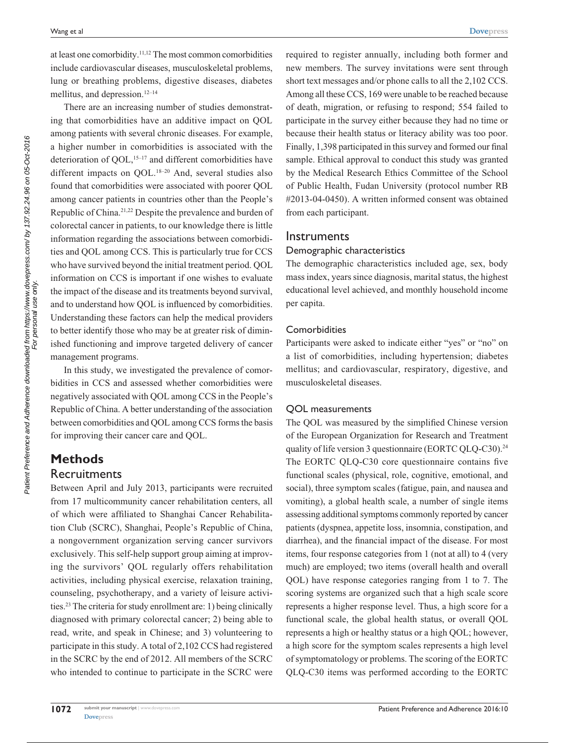at least one comorbidity.11,12 The most common comorbidities include cardiovascular diseases, musculoskeletal problems, lung or breathing problems, digestive diseases, diabetes mellitus, and depression.<sup>12–14</sup>

There are an increasing number of studies demonstrating that comorbidities have an additive impact on QOL among patients with several chronic diseases. For example, a higher number in comorbidities is associated with the deterioration of QOL,<sup>15-17</sup> and different comorbidities have different impacts on OOL.<sup>18-20</sup> And, several studies also found that comorbidities were associated with poorer QOL among cancer patients in countries other than the People's Republic of China.21,22 Despite the prevalence and burden of colorectal cancer in patients, to our knowledge there is little information regarding the associations between comorbidities and QOL among CCS. This is particularly true for CCS who have survived beyond the initial treatment period. QOL information on CCS is important if one wishes to evaluate the impact of the disease and its treatments beyond survival, and to understand how QOL is influenced by comorbidities. Understanding these factors can help the medical providers to better identify those who may be at greater risk of diminished functioning and improve targeted delivery of cancer management programs.

In this study, we investigated the prevalence of comorbidities in CCS and assessed whether comorbidities were negatively associated with QOL among CCS in the People's Republic of China. A better understanding of the association between comorbidities and QOL among CCS forms the basis for improving their cancer care and QOL.

# **Methods Recruitments**

Patient Preference and Adherence downloaded from https://www.dovepress.com/ by 137.92.24.96 on 05-Oct-2016<br>For personal use only Patient Preference and Adherence downloaded from https://www.dovepress.com/ by 137.92.24.96 on 05-Oct-2016 For personal use only.

Between April and July 2013, participants were recruited from 17 multicommunity cancer rehabilitation centers, all of which were affiliated to Shanghai Cancer Rehabilitation Club (SCRC), Shanghai, People's Republic of China, a nongovernment organization serving cancer survivors exclusively. This self-help support group aiming at improving the survivors' QOL regularly offers rehabilitation activities, including physical exercise, relaxation training, counseling, psychotherapy, and a variety of leisure activities.23 The criteria for study enrollment are: 1) being clinically diagnosed with primary colorectal cancer; 2) being able to read, write, and speak in Chinese; and 3) volunteering to participate in this study. A total of 2,102 CCS had registered in the SCRC by the end of 2012. All members of the SCRC who intended to continue to participate in the SCRC were required to register annually, including both former and new members. The survey invitations were sent through short text messages and/or phone calls to all the 2,102 CCS. Among all these CCS, 169 were unable to be reached because of death, migration, or refusing to respond; 554 failed to participate in the survey either because they had no time or because their health status or literacy ability was too poor. Finally, 1,398 participated in this survey and formed our final sample. Ethical approval to conduct this study was granted by the Medical Research Ethics Committee of the School of Public Health, Fudan University (protocol number RB #2013-04-0450). A written informed consent was obtained from each participant.

## **Instruments**

#### Demographic characteristics

The demographic characteristics included age, sex, body mass index, years since diagnosis, marital status, the highest educational level achieved, and monthly household income per capita.

#### **Comorbidities**

Participants were asked to indicate either "yes" or "no" on a list of comorbidities, including hypertension; diabetes mellitus; and cardiovascular, respiratory, digestive, and musculoskeletal diseases.

#### QOL measurements

The QOL was measured by the simplified Chinese version of the European Organization for Research and Treatment quality of life version 3 questionnaire (EORTC QLQ-C30).<sup>24</sup> The EORTC QLQ-C30 core questionnaire contains five functional scales (physical, role, cognitive, emotional, and social), three symptom scales (fatigue, pain, and nausea and vomiting), a global health scale, a number of single items assessing additional symptoms commonly reported by cancer patients (dyspnea, appetite loss, insomnia, constipation, and diarrhea), and the financial impact of the disease. For most items, four response categories from 1 (not at all) to 4 (very much) are employed; two items (overall health and overall QOL) have response categories ranging from 1 to 7. The scoring systems are organized such that a high scale score represents a higher response level. Thus, a high score for a functional scale, the global health status, or overall QOL represents a high or healthy status or a high QOL; however, a high score for the symptom scales represents a high level of symptomatology or problems. The scoring of the EORTC QLQ-C30 items was performed according to the EORTC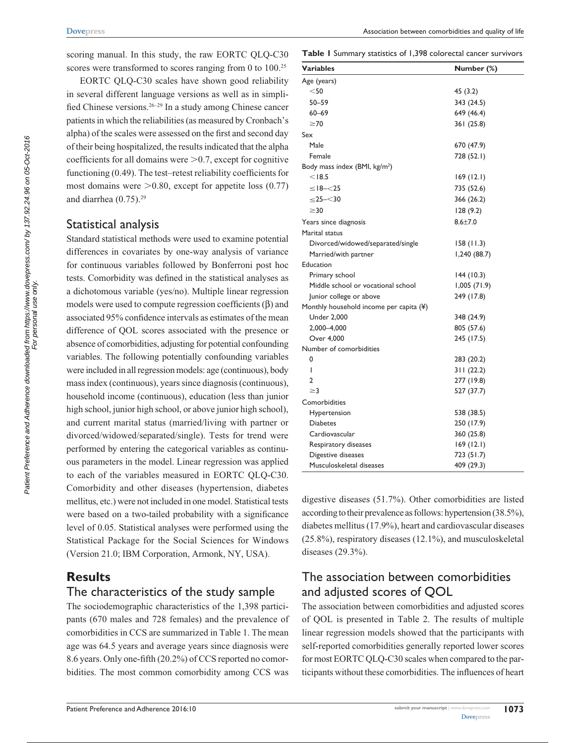scoring manual. In this study, the raw EORTC QLQ-C30 scores were transformed to scores ranging from 0 to 100.<sup>25</sup>

EORTC QLQ-C30 scales have shown good reliability in several different language versions as well as in simplified Chinese versions.26–29 In a study among Chinese cancer patients in which the reliabilities (as measured by Cronbach's alpha) of the scales were assessed on the first and second day of their being hospitalized, the results indicated that the alpha coefficients for all domains were  $>0.7$ , except for cognitive functioning (0.49). The test–retest reliability coefficients for most domains were  $>0.80$ , except for appetite loss (0.77) and diarrhea (0.75).29

## Statistical analysis

Standard statistical methods were used to examine potential differences in covariates by one-way analysis of variance for continuous variables followed by Bonferroni post hoc tests. Comorbidity was defined in the statistical analyses as a dichotomous variable (yes/no). Multiple linear regression models were used to compute regression coefficients  $(\beta)$  and associated 95% confidence intervals as estimates of the mean difference of QOL scores associated with the presence or absence of comorbidities, adjusting for potential confounding variables. The following potentially confounding variables were included in all regression models: age (continuous), body mass index (continuous), years since diagnosis (continuous), household income (continuous), education (less than junior high school, junior high school, or above junior high school), and current marital status (married/living with partner or divorced/widowed/separated/single). Tests for trend were performed by entering the categorical variables as continuous parameters in the model. Linear regression was applied to each of the variables measured in EORTC QLQ-C30. Comorbidity and other diseases (hypertension, diabetes mellitus, etc.) were not included in one model. Statistical tests were based on a two-tailed probability with a significance level of 0.05. Statistical analyses were performed using the Statistical Package for the Social Sciences for Windows (Version 21.0; IBM Corporation, Armonk, NY, USA).

## **Results**

## The characteristics of the study sample

The sociodemographic characteristics of the 1,398 participants (670 males and 728 females) and the prevalence of comorbidities in CCS are summarized in Table 1. The mean age was 64.5 years and average years since diagnosis were 8.6 years. Only one-fifth (20.2%) of CCS reported no comorbidities. The most common comorbidity among CCS was

**Table 1** Summary statistics of 1,398 colorectal cancer survivors

| Variables                                 | Number (%)   |
|-------------------------------------------|--------------|
| Age (years)                               |              |
| $<$ 50                                    | 45 (3.2)     |
| 50-59                                     | 343 (24.5)   |
| $60 - 69$                                 | 649 (46.4)   |
| $\geq 70$                                 | 361 (25.8)   |
| Sex                                       |              |
| Male                                      | 670 (47.9)   |
| Female                                    | 728 (52.1)   |
| Body mass index (BMI, kg/m <sup>2</sup> ) |              |
| $<$ 18.5                                  | 169(12.1)    |
| $\le$ 18- $<$ 25                          | 735 (52.6)   |
| $\leq$ 25– $<$ 30                         | 366 (26.2)   |
| $\geq$ 30                                 | 128(9.2)     |
| Years since diagnosis                     | $8.6 + 7.0$  |
| Marital status                            |              |
| Divorced/widowed/separated/single         | 158(11.3)    |
| Married/with partner                      | 1,240 (88.7) |
| Education                                 |              |
| Primary school                            | 144(10.3)    |
| Middle school or vocational school        | 1,005(71.9)  |
| Junior college or above                   | 249 (17.8)   |
| Monthly household income per capita (¥)   |              |
| <b>Under 2,000</b>                        | 348 (24.9)   |
| 2,000-4,000                               | 805 (57.6)   |
| Over 4,000                                | 245 (17.5)   |
| Number of comorbidities                   |              |
| 0                                         | 283 (20.2)   |
| I                                         | 311(22.2)    |
| 2                                         | 277 (19.8)   |
| $\geq$ 3                                  | 527 (37.7)   |
| Comorbidities                             |              |
| Hypertension                              | 538 (38.5)   |
| <b>Diabetes</b>                           | 250 (17.9)   |
| Cardiovascular                            | 360 (25.8)   |
| Respiratory diseases                      | 169(12.1)    |
| Digestive diseases                        | 723 (51.7)   |
| Musculoskeletal diseases                  | 409 (29.3)   |

digestive diseases (51.7%). Other comorbidities are listed according to their prevalence as follows: hypertension (38.5%), diabetes mellitus (17.9%), heart and cardiovascular diseases (25.8%), respiratory diseases (12.1%), and musculoskeletal diseases (29.3%).

# The association between comorbidities and adjusted scores of QOL

The association between comorbidities and adjusted scores of QOL is presented in Table 2. The results of multiple linear regression models showed that the participants with self-reported comorbidities generally reported lower scores for most EORTC QLQ-C30 scales when compared to the participants without these comorbidities. The influences of heart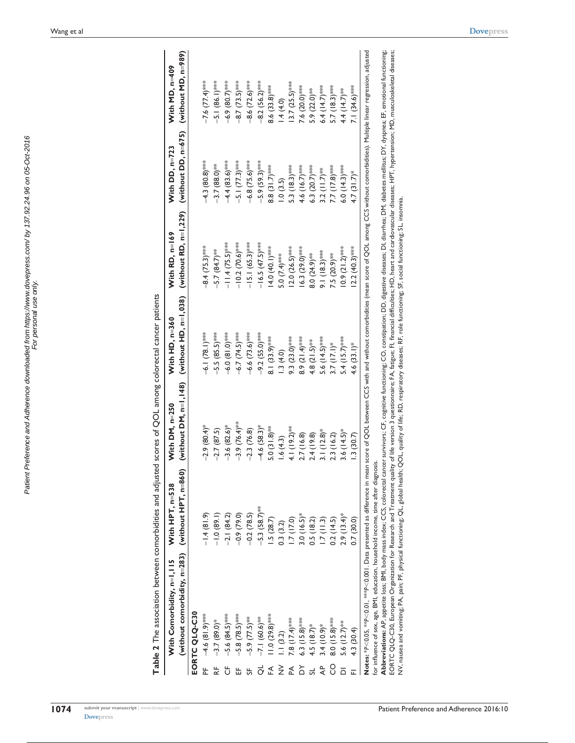| ֧֖֧֧֧֧֧֧֧֧֧֧֧֪֪֧֚֚֚֚֚֚֚֚֚֚֚֚֚֚֚֚֚֚֚֚֚֚֚֚֚֚֚֚֚֝֝֓֝֓֝֬֝֓֓֝֬֝֬֝֬֓֝֬֝֬<br>)<br>)<br>)<br>)<br>)<br>こうせい こうこうこう アクトラング<br> <br> <br> <br> <br> <br>i<br>Secon<br>į<br>.<br>.<br>.<br>.<br>֧֧֚֚֚֝֝<br>֧֪֚֚֚֚֚֝֝֝֝<br>֧֖֚֚֚֚֚֚֝֝֝֝֝ <b>֚</b><br><br>a ana hahan.<br>Patient |
|----------------------------------------------------------------------------------------------------------------------------------------------------------------------------------------------------------------------------------------------------------------------|
|----------------------------------------------------------------------------------------------------------------------------------------------------------------------------------------------------------------------------------------------------------------------|

Table 2 The association between comorbidities and adjusted scores of QOL among colorectal cancer patients **Table 2** The association between comorbidities and adjusted scores of QOL among colorectal cancer patients

|   | (without comorbidity, $n=283$ ) (without HPT, $n=860$ )<br>With Comorbidity, n=1,115                                                                                                                                           | With HPT, n=538 | With DM, n=250             | With HD, n=360              | (without DM, n=1,148) (without HD, n=1,038) (without RD, n=1,229) (without DD, n=675) (without MD, n=989)<br>With RD, $n=169$ | With DD, n=723              | With MD, n=409            |
|---|--------------------------------------------------------------------------------------------------------------------------------------------------------------------------------------------------------------------------------|-----------------|----------------------------|-----------------------------|-------------------------------------------------------------------------------------------------------------------------------|-----------------------------|---------------------------|
|   | EORTC QLQ-C30                                                                                                                                                                                                                  |                 |                            |                             |                                                                                                                               |                             |                           |
| 눈 | $-4.6(81.9)$ ***                                                                                                                                                                                                               | $-1.4(81.9)$    | $-2.9(80.4)$ *             | $-6.1(78.1)$ <sup>***</sup> | $-8.4$ (75.3)***                                                                                                              | $-4.3(80.8)$ ***            | $-7.6$ $(77.4)$ ***       |
|   | $-3.7(89.0)*$                                                                                                                                                                                                                  | $-1.0(89.1)$    | $-2.7(87.5)$               | $-5.5(85.5)$ ***            | $-5.7(84.7)$ **                                                                                                               | $-3.7(88.0)$ **             | $-5.1(86.1)***$           |
|   | $-5.6(84.5)$ ***                                                                                                                                                                                                               | $-2.1(84.2)$    | $-3.6(82.6)$ *             | $-6.0(81.0)$ ****           | $-11.4(75.5)$ ***                                                                                                             | $-4.4(83.6)$ ***            | $-6.9(80.7)$ ***          |
|   | $-5.8(78.5)$ ***                                                                                                                                                                                                               | $-0.9(79.0)$    | $-3.9(76.4)$ **            | $-6.7(74.5)$ ***            | $-10.2(70.6)$ ***                                                                                                             | $-5.1(77.3)$ ***            | $-8.7$ $(73.5)$ ***       |
|   | $-5.9(77.5)$ <sup>**</sup>                                                                                                                                                                                                     | $-0.2(78.5)$    | $-2.3(76.8)$               | $-6.6(73.6)$ ***            | $-15.1(65.3)$ ***                                                                                                             | $-6.8(75.6)$ ***            | $-8.6$ $(72.6)$ ***       |
|   | $-7.1(60.6)$ **                                                                                                                                                                                                                | $-5.3(58.7)$ ** | $-4.6$ (58.3) <sup>*</sup> | $-9.2$ (55.0)****           | $-16.5(47.5)$ ***                                                                                                             | $-5.9(59.3)***$             | $-8.2(56.2)$ ***          |
|   | $11.0(29.8)$ ***                                                                                                                                                                                                               | $-5(28.7)$      | $5.0(31.8)$ <sup>**</sup>  | $8.1(33.9)$ ***             | 14.0(1.04)                                                                                                                    | $8.8(31.7)$ ***             | $8.6(33.8)$ ***           |
|   | 1.1(3.2)                                                                                                                                                                                                                       | 0.3(3.2)        | 1.6(4.3)                   | 1.3(4.0)                    | 5.0 $(7.4)$ ***                                                                                                               | 1.0(3.5)                    | .4(4.0)                   |
|   | 7.8 $(17.4)$ ***                                                                                                                                                                                                               | 1.7(17.0)       | 4.1 $(19.2)$ **            | 9.3 $(23.0)$ ***            | $(2.0 (26.5)$ ***                                                                                                             | 5.3 (18.3)***               | $(3.7 (25.5)$ ***         |
|   | $6.3(15.8)***$                                                                                                                                                                                                                 | $3.0(16.5)$ *   | 2.7(16.8)                  | 8.9 $(21.4)$ ***            | $16.3(29.0)$ ***                                                                                                              | 4.6 $(16.7)$ ***            | 7.6 $(20.0)$ ***          |
|   | $4.5(18.7)$ *                                                                                                                                                                                                                  | 0.5(18.2)       | 2.4(19.8)                  | 4.8 $(21.5)$ <sup>**</sup>  | $8.0(24.9)$ <sup>***</sup>                                                                                                    | 6.3 $(20.7)$ ***            | $5.9(22.0)$ <sup>**</sup> |
|   | $3.4(10.9)*$                                                                                                                                                                                                                   | 1.7(11.3)       | $3.1(12.8)$ *              | $5.6(14.5)$ ***             | $9.1(18.3)$ ***                                                                                                               | 3.2 $(11.7)$ <sup>***</sup> | $6.4(14.7)$ ***           |
|   | $8.0(15.8)***$                                                                                                                                                                                                                 | 0.2(14.5)       | 2.3(16.2)                  | $3.7(17.1)$ *               | 7.5 (20.9)**                                                                                                                  | 7.7 (17.8)****              | $5.7(18.3)$ ***           |
|   | 5.6 $(12.7)$ <sup>**</sup>                                                                                                                                                                                                     | $2.9(13.4)$ *   | $3.6(14.5)$ *              | $5.4(15.7)$ ***             | $0.9(21.2)$ ***                                                                                                               | $6.0(14.3)$ ***             | 4.4 $(14.7)$ **           |
|   | 4.3 (30.4)                                                                                                                                                                                                                     | 0.7(30.0)       | .3(30.7)                   | $4.6(33.1)^*$               | $2.2(40.3)$ ***                                                                                                               | $4.7(31.7)$ *               | $7.1(34.6)***$            |
|   | Notes: *P<0.05, **P<0.01, **P<0.001. Data presented as difference in mean score of QOL between CCS with and without comorbidities (mean score of QOL among CCS without comorbidities). Multiple linear regression, adjusted    |                 |                            |                             |                                                                                                                               |                             |                           |
|   | for influence of sex, age, BMI, education, household income, time after diagnosis.                                                                                                                                             |                 |                            |                             |                                                                                                                               |                             |                           |
|   | Abbreviations: AP, appetite loss; BMI, body mass index; CCS, colorectal cancer survivors; CF, cognitive functioning; CO, constipation; DD, digestive diseases; DI, diarrhea; DM, diabetes mellitus; DY, dyspnea; EF, emotional |                 |                            |                             |                                                                                                                               |                             |                           |

Abbreviations: AP, appetie loss; BMI, body mass index; CCS, colorectal cancer survivors; CF, cognitive functioning; CO, constipation; DD, digestive diseases; DI, diarhea; DM, diabetes mellitus; DY, dyspnea; EF, emotional f EORTC QLQ-C30, European Organization for Research and Treatment quality of life version 3 questionnaire; F.A, fatigue; F.I, financial difficulties; HD, heart and cardiovascular diseases; HPT, hypertension; MD, musculoskele NV, nausea and vomiting; PA, pain; PF, physical functioning; QL, global health; QOL, quality of life; RD, respiratory diseases; RF, role functioning; SF, social functioning; SL, insomnia.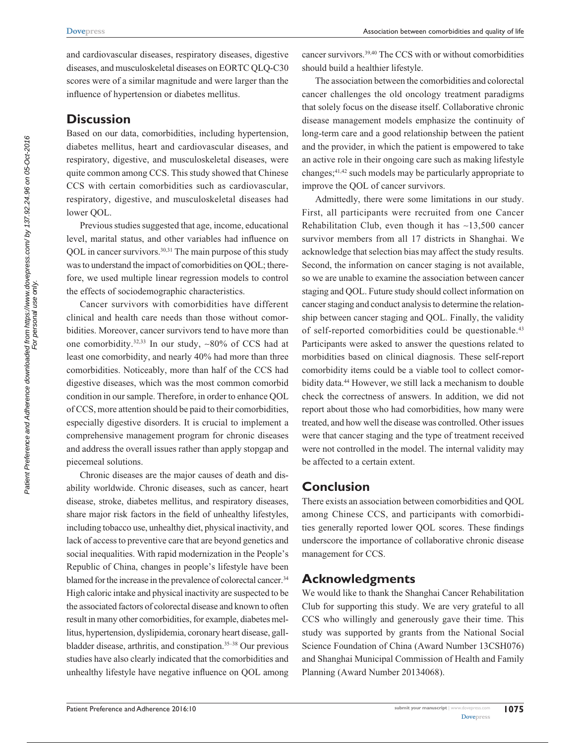and cardiovascular diseases, respiratory diseases, digestive diseases, and musculoskeletal diseases on EORTC QLQ-C30 scores were of a similar magnitude and were larger than the influence of hypertension or diabetes mellitus.

## **Discussion**

Based on our data, comorbidities, including hypertension, diabetes mellitus, heart and cardiovascular diseases, and respiratory, digestive, and musculoskeletal diseases, were quite common among CCS. This study showed that Chinese CCS with certain comorbidities such as cardiovascular, respiratory, digestive, and musculoskeletal diseases had lower QOL.

Previous studies suggested that age, income, educational level, marital status, and other variables had influence on QOL in cancer survivors.<sup>30,31</sup> The main purpose of this study was to understand the impact of comorbidities on QOL; therefore, we used multiple linear regression models to control the effects of sociodemographic characteristics.

Cancer survivors with comorbidities have different clinical and health care needs than those without comorbidities. Moreover, cancer survivors tend to have more than one comorbidity.<sup>32,33</sup> In our study,  $\sim 80\%$  of CCS had at least one comorbidity, and nearly 40% had more than three comorbidities. Noticeably, more than half of the CCS had digestive diseases, which was the most common comorbid condition in our sample. Therefore, in order to enhance QOL of CCS, more attention should be paid to their comorbidities, especially digestive disorders. It is crucial to implement a comprehensive management program for chronic diseases and address the overall issues rather than apply stopgap and piecemeal solutions.

Chronic diseases are the major causes of death and disability worldwide. Chronic diseases, such as cancer, heart disease, stroke, diabetes mellitus, and respiratory diseases, share major risk factors in the field of unhealthy lifestyles, including tobacco use, unhealthy diet, physical inactivity, and lack of access to preventive care that are beyond genetics and social inequalities. With rapid modernization in the People's Republic of China, changes in people's lifestyle have been blamed for the increase in the prevalence of colorectal cancer.<sup>34</sup> High caloric intake and physical inactivity are suspected to be the associated factors of colorectal disease and known to often result in many other comorbidities, for example, diabetes mellitus, hypertension, dyslipidemia, coronary heart disease, gallbladder disease, arthritis, and constipation.<sup>35-38</sup> Our previous studies have also clearly indicated that the comorbidities and unhealthy lifestyle have negative influence on QOL among cancer survivors.39,40 The CCS with or without comorbidities should build a healthier lifestyle.

The association between the comorbidities and colorectal cancer challenges the old oncology treatment paradigms that solely focus on the disease itself. Collaborative chronic disease management models emphasize the continuity of long-term care and a good relationship between the patient and the provider, in which the patient is empowered to take an active role in their ongoing care such as making lifestyle changes;41,42 such models may be particularly appropriate to improve the QOL of cancer survivors.

Admittedly, there were some limitations in our study. First, all participants were recruited from one Cancer Rehabilitation Club, even though it has  $\sim$ 13,500 cancer survivor members from all 17 districts in Shanghai. We acknowledge that selection bias may affect the study results. Second, the information on cancer staging is not available, so we are unable to examine the association between cancer staging and QOL. Future study should collect information on cancer staging and conduct analysis to determine the relationship between cancer staging and QOL. Finally, the validity of self-reported comorbidities could be questionable.<sup>43</sup> Participants were asked to answer the questions related to morbidities based on clinical diagnosis. These self-report comorbidity items could be a viable tool to collect comorbidity data.44 However, we still lack a mechanism to double check the correctness of answers. In addition, we did not report about those who had comorbidities, how many were treated, and how well the disease was controlled. Other issues were that cancer staging and the type of treatment received were not controlled in the model. The internal validity may be affected to a certain extent.

# **Conclusion**

There exists an association between comorbidities and QOL among Chinese CCS, and participants with comorbidities generally reported lower QOL scores. These findings underscore the importance of collaborative chronic disease management for CCS.

# **Acknowledgments**

We would like to thank the Shanghai Cancer Rehabilitation Club for supporting this study. We are very grateful to all CCS who willingly and generously gave their time. This study was supported by grants from the National Social Science Foundation of China (Award Number 13CSH076) and Shanghai Municipal Commission of Health and Family Planning (Award Number 20134068).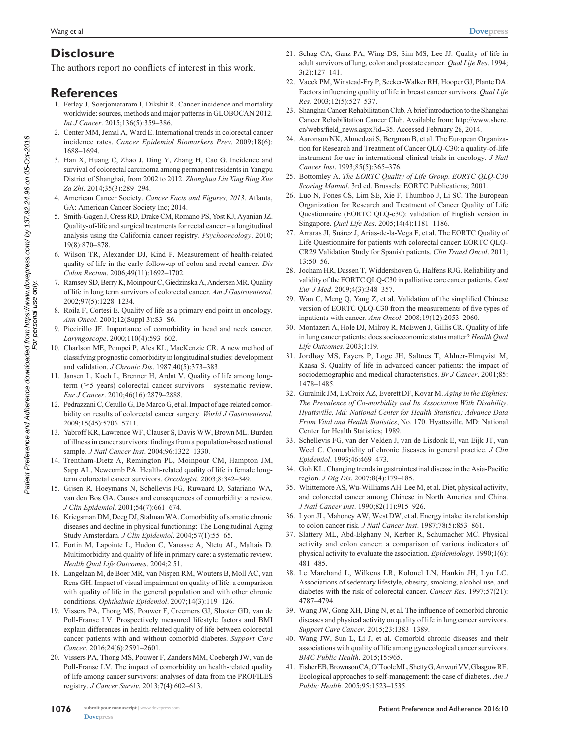# **Disclosure**

The authors report no conflicts of interest in this work.

## **References**

- 1. Ferlay J, Soerjomataram I, Dikshit R. Cancer incidence and mortality worldwide: sources, methods and major patterns in GLOBOCAN 2012. *Int J Cancer*. 2015;136(5):359–386.
- 2. Center MM, Jemal A, Ward E. International trends in colorectal cancer incidence rates. *Cancer Epidemiol Biomarkers Prev*. 2009;18(6): 1688–1694.
- 3. Han X, Huang C, Zhao J, Ding Y, Zhang H, Cao G. Incidence and survival of colorectal carcinoma among permanent residents in Yangpu District of Shanghai, from 2002 to 2012. *Zhonghua Liu Xing Bing Xue Za Zhi*. 2014;35(3):289–294.
- 4. American Cancer Society. *Cancer Facts and Figures, 2013*. Atlanta, GA: American Cancer Society Inc; 2014.
- 5. Smith-Gagen J, Cress RD, Drake CM, Romano PS, Yost KJ, Ayanian JZ. Quality-of-life and surgical treatments for rectal cancer – a longitudinal analysis using the California cancer registry. *Psychooncology*. 2010; 19(8):870–878.
- 6. Wilson TR, Alexander DJ, Kind P. Measurement of health-related quality of life in the early follow-up of colon and rectal cancer. *Dis Colon Rectum*. 2006;49(11):1692–1702.
- 7. Ramsey SD, Berry K, Moinpour C, Giedzinska A, Andersen MR. Quality of life in long term survivors of colorectal cancer. *Am J Gastroenterol*. 2002;97(5):1228–1234.
- 8. Roila F, Cortesi E. Quality of life as a primary end point in oncology. *Ann Oncol*. 2001;12(Suppl 3):S3–S6.
- 9. Piccirillo JF. Importance of comorbidity in head and neck cancer. *Laryngoscope*. 2000;110(4):593–602.
- 10. Charlson ME, Pompei P, Ales KL, MacKenzie CR. A new method of classifying prognostic comorbidity in longitudinal studies: development and validation. *J Chronic Dis*. 1987;40(5):373–383.
- 11. Jansen L, Koch L, Brenner H, Ardnt V. Quality of life among longterm  $(\geq 5$  years) colorectal cancer survivors – systematic review. *Eur J Cancer*. 2010;46(16):2879–2888.
- 12. Pedrazzani C, Cerullo G, De Marco G, et al. Impact of age-related comorbidity on results of colorectal cancer surgery. *World J Gastroenterol*. 2009;15(45):5706–5711.
- 13. Yabroff KR, Lawrence WF, Clauser S, Davis WW, Brown ML. Burden of illness in cancer survivors: findings from a population-based national sample. *J Natl Cancer Inst*. 2004;96:1322–1330.
- 14. Trentham-Dietz A, Remington PL, Moinpour CM, Hampton JM, Sapp AL, Newcomb PA. Health-related quality of life in female longterm colorectal cancer survivors. *Oncologist*. 2003;8:342–349.
- 15. Gijsen R, Hoeymans N, Schellevis FG, Ruwaard D, Satariano WA, van den Bos GA. Causes and consequences of comorbidity: a review. *J Clin Epidemiol*. 2001;54(7):661–674.
- 16. Kriegsman DM, Deeg DJ, Stalman WA. Comorbidity of somatic chronic diseases and decline in physical functioning: The Longitudinal Aging Study Amsterdam. *J Clin Epidemiol*. 2004;57(1):55–65.
- 17. Fortin M, Lapointe L, Hudon C, Vanasse A, Ntetu AL, Maltais D. Multimorbidity and quality of life in primary care: a systematic review. *Health Qual Life Outcomes*. 2004;2:51.
- 18. Langelaan M, de Boer MR, van Nispen RM, Wouters B, Moll AC, van Rens GH. Impact of visual impairment on quality of life: a comparison with quality of life in the general population and with other chronic conditions. *Ophthalmic Epidemiol*. 2007;14(3):119–126.
- 19. Vissers PA, Thong MS, Pouwer F, Creemers GJ, Slooter GD, van de Poll-Franse LV. Prospectively measured lifestyle factors and BMI explain differences in health-related quality of life between colorectal cancer patients with and without comorbid diabetes. *Support Care Cancer*. 2016;24(6):2591–2601.
- 20. Vissers PA, Thong MS, Pouwer F, Zanders MM, Coebergh JW, van de Poll-Franse LV. The impact of comorbidity on health-related quality of life among cancer survivors: analyses of data from the PROFILES registry. *J Cancer Surviv*. 2013;7(4):602–613.
- 21. Schag CA, Ganz PA, Wing DS, Sim MS, Lee JJ. Quality of life in adult survivors of lung, colon and prostate cancer. *Qual Life Res*. 1994; 3(2):127–141.
- 22. Vacek PM, Winstead-Fry P, Secker-Walker RH, Hooper GJ, Plante DA. Factors influencing quality of life in breast cancer survivors. *Qual Life Res*. 2003;12(5):527–537.
- 23. Shanghai Cancer Rehabilitation Club. A brief introduction to the Shanghai Cancer Rehabilitation Cancer Club. Available from: [http://www.shcrc.](http://www.shcrc.cn/webs/field_news.aspx?id=35) [cn/webs/field\\_news.aspx?id](http://www.shcrc.cn/webs/field_news.aspx?id=35)=35. Accessed February 26, 2014.
- 24. Aaronson NK, Ahmedzai S, Bergman B, et al. The European Organization for Research and Treatment of Cancer QLQ-C30: a quality-of-life instrument for use in international clinical trials in oncology. *J Natl Cancer Inst*. 1993;85(5):365–376.
- 25. Bottomley A. *The EORTC Quality of Life Group*. *EORTC QLQ-C30 Scoring Manual*. 3rd ed. Brussels: EORTC Publications; 2001.
- 26. Luo N, Fones CS, Lim SE, Xie F, Thumboo J, Li SC. The European Organization for Research and Treatment of Cancer Quality of Life Questionnaire (EORTC QLQ-c30): validation of English version in Singapore. *Qual Life Res*. 2005;14(4):1181–1186.
- 27. Arraras JI, Suárez J, Arias-de-la-Vega F, et al. The EORTC Quality of Life Questionnaire for patients with colorectal cancer: EORTC QLQ-CR29 Validation Study for Spanish patients. *Clin Transl Oncol*. 2011; 13:50–56.
- 28. Jocham HR, Dassen T, Widdershoven G, Halfens RJG. Reliability and validity of the EORTC QLQ-C30 in palliative care cancer patients. *Cent Eur J Med*. 2009;4(3):348–357.
- 29. Wan C, Meng Q, Yang Z, et al. Validation of the simplified Chinese version of EORTC QLQ-C30 from the measurements of five types of inpatients with cancer. *Ann Oncol*. 2008;19(12):2053–2060.
- 30. Montazeri A, Hole DJ, Milroy R, McEwen J, Gillis CR. Quality of life in lung cancer patients: does socioeconomic status matter? *Health Qual Life Outcomes*. 2003;1:19.
- 31. Jordhøy MS, Fayers P, Loge JH, Saltnes T, Ahlner-Elmqvist M, Kaasa S. Quality of life in advanced cancer patients: the impact of sociodemographic and medical characteristics. *Br J Cancer*. 2001;85: 1478–1485.
- 32. Guralnik JM, LaCroix AZ, Everett DF, Kovar M. *Aging in the Eighties: The Prevalence of Co-morbidity and Its Association With Disability*. *Hyattsville, Md: National Center for Health Statistics; Advance Data From Vital and Health Statistics*, No. 170. Hyattsville, MD: National Center for Health Statistics; 1989.
- 33. Schellevis FG, van der Velden J, van de Lisdonk E, van Eijk JT, van Weel C. Comorbidity of chronic diseases in general practice. *J Clin Epidemiol*. 1993;46:469–473.
- 34. Goh KL. Changing trends in gastrointestinal disease in the Asia-Pacific region. *J Dig Dis*. 2007;8(4):179–185.
- 35. Whittemore AS, Wu-Williams AH, Lee M, et al. Diet, physical activity, and colorectal cancer among Chinese in North America and China. *J Natl Cancer Inst*. 1990;82(11):915–926.
- 36. Lyon JL, Mahoney AW, West DW, et al. Energy intake: its relationship to colon cancer risk. *J Natl Cancer Inst*. 1987;78(5):853–861.
- 37. Slattery ML, Abd-Elghany N, Kerber R, Schumacher MC. Physical activity and colon cancer: a comparison of various indicators of physical activity to evaluate the association. *Epidemiology*. 1990;1(6): 481–485.
- 38. Le Marchand L, Wilkens LR, Kolonel LN, Hankin JH, Lyu LC. Associations of sedentary lifestyle, obesity, smoking, alcohol use, and diabetes with the risk of colorectal cancer. *Cancer Res*. 1997;57(21): 4787–4794.
- 39. Wang JW, Gong XH, Ding N, et al. The influence of comorbid chronic diseases and physical activity on quality of life in lung cancer survivors. *Support Care Cancer*. 2015;23:1383–1389.
- 40. Wang JW, Sun L, Li J, et al. Comorbid chronic diseases and their associations with quality of life among gynecological cancer survivors. *BMC Public Health*. 2015;15:965.
- 41. Fisher EB, Brownson CA, O'Toole ML, Shetty G, Anwuri VV, Glasgow RE. Ecological approaches to self-management: the case of diabetes. *Am J Public Health*. 2005;95:1523–1535.